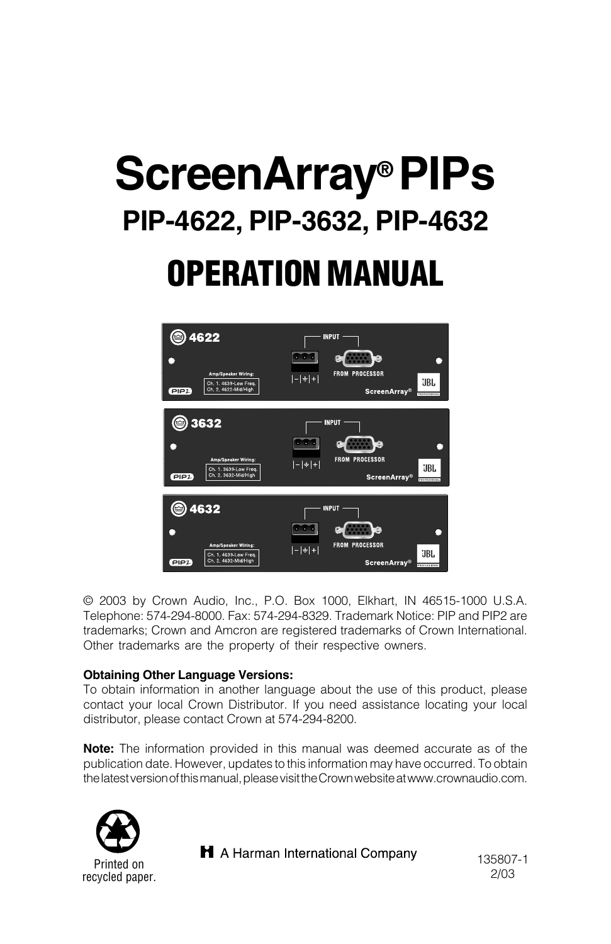# **ScreenArray® PIPs PIP-4622, PIP-3632, PIP-4632**

## **OPERATION MANUAL**



© 2003 by Crown Audio, Inc., P.O. Box 1000, Elkhart, IN 46515-1000 U.S.A. Telephone: 574-294-8000. Fax: 574-294-8329. Trademark Notice: PIP and PIP2 are trademarks; Crown and Amcron are registered trademarks of Crown International. Other trademarks are the property of their respective owners.

#### **Obtaining Other Language Versions:**

To obtain information in another language about the use of this product, please contact your local Crown Distributor. If you need assistance locating your local distributor, please contact Crown at 574-294-8200.

**Note:** The information provided in this manual was deemed accurate as of the publication date. However, updates to this information may have occurred. To obtain the latest version of this manual, please visit the Crown website at www.crownaudio.com.



**H** A Harman International Company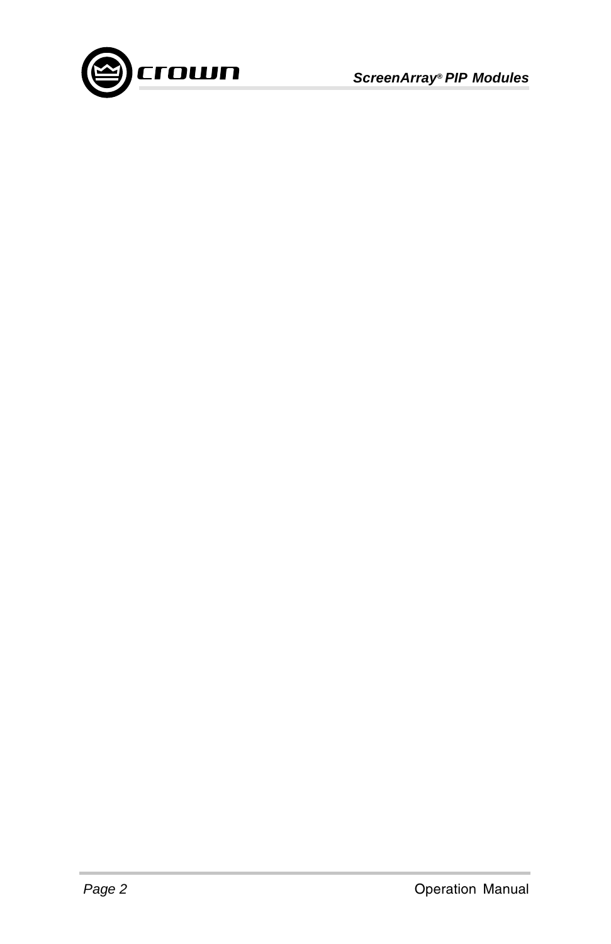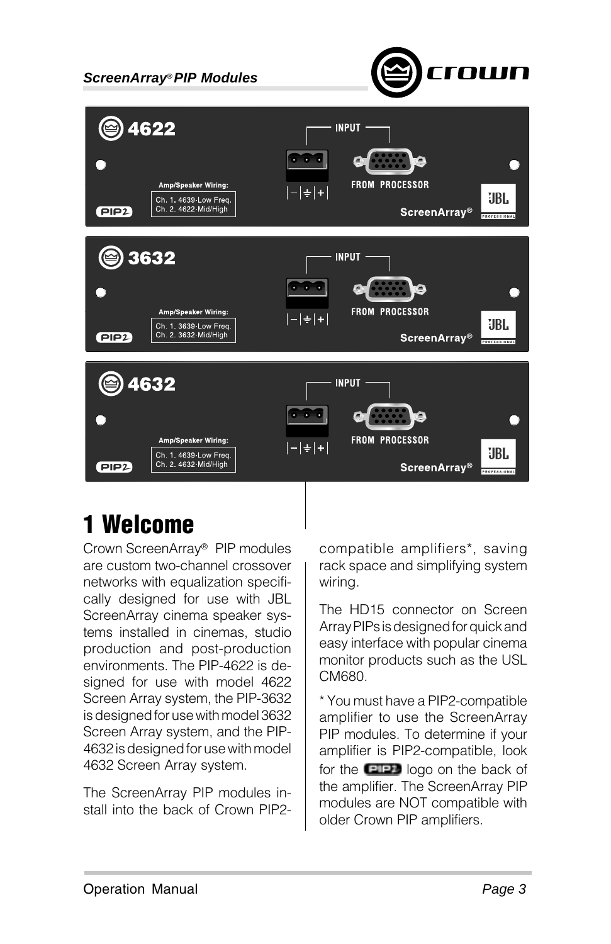

## **1 Welcome**

Crown ScreenArray® PIP modules are custom two-channel crossover networks with equalization specifically designed for use with JBL ScreenArray cinema speaker systems installed in cinemas, studio production and post-production environments. The PIP-4622 is designed for use with model 4622 Screen Array system, the PIP-3632 is designed for use with model 3632 Screen Array system, and the PIP-4632 is designed for use with model 4632 Screen Array system.

The ScreenArray PIP modules install into the back of Crown PIP2compatible amplifiers\*, saving rack space and simplifying system wiring.

The HD15 connector on Screen Array PIPs is designed for quick and easy interface with popular cinema monitor products such as the USL CM680.

\* You must have a PIP2-compatible amplifier to use the ScreenArray PIP modules. To determine if your amplifier is PIP2-compatible, look for the **ELEC** logo on the back of the amplifier. The ScreenArray PIP modules are NOT compatible with older Crown PIP amplifiers.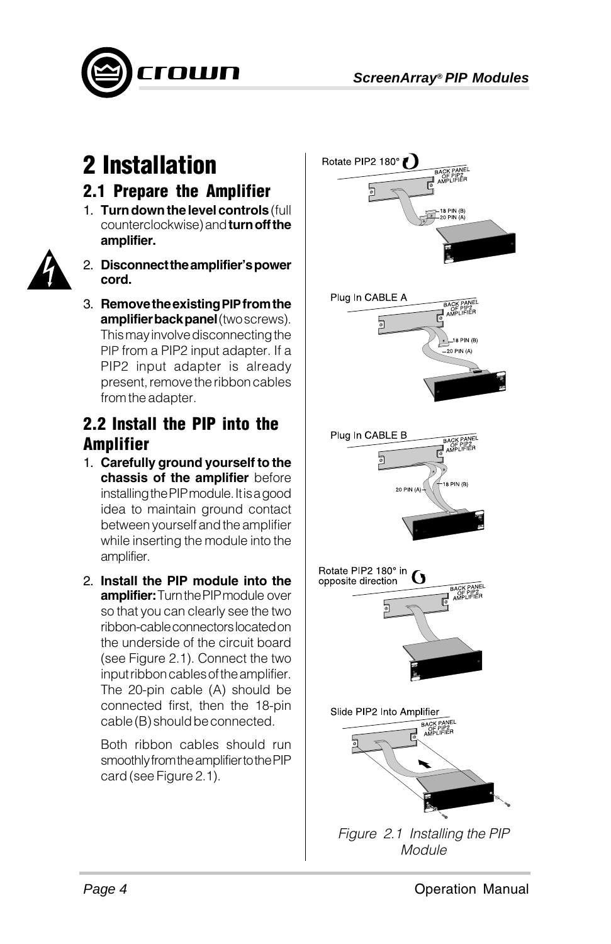

## **2 Installation**

### **2.1 Prepare the Amplifier**

1. **Turn down the level controls** (full counterclockwise) and **turn off the amplifier.**



- 2. **Disconnect the amplifier's power cord.**
- 3. **Remove the existing PIP from the amplifier back panel** (two screws). This may involve disconnecting the PIP from a PIP2 input adapter. If a PIP2 input adapter is already present, remove the ribbon cables from the adapter.

### **2.2 Install the PIP into the Amplifier**

- 1. **Carefully ground yourself to the chassis of the amplifier** before installing the PIP module. It is a good idea to maintain ground contact between yourself and the amplifier while inserting the module into the amplifier.
- 2. **Install the PIP module into the amplifier:** Turn the PIP module over so that you can clearly see the two ribbon-cable connectors located on the underside of the circuit board (see Figure 2.1). Connect the two input ribbon cables of the amplifier. The 20-pin cable (A) should be connected first, then the 18-pin cable (B) should be connected.

Both ribbon cables should run smoothly from the amplifier to the PIP card (see Figure 2.1).



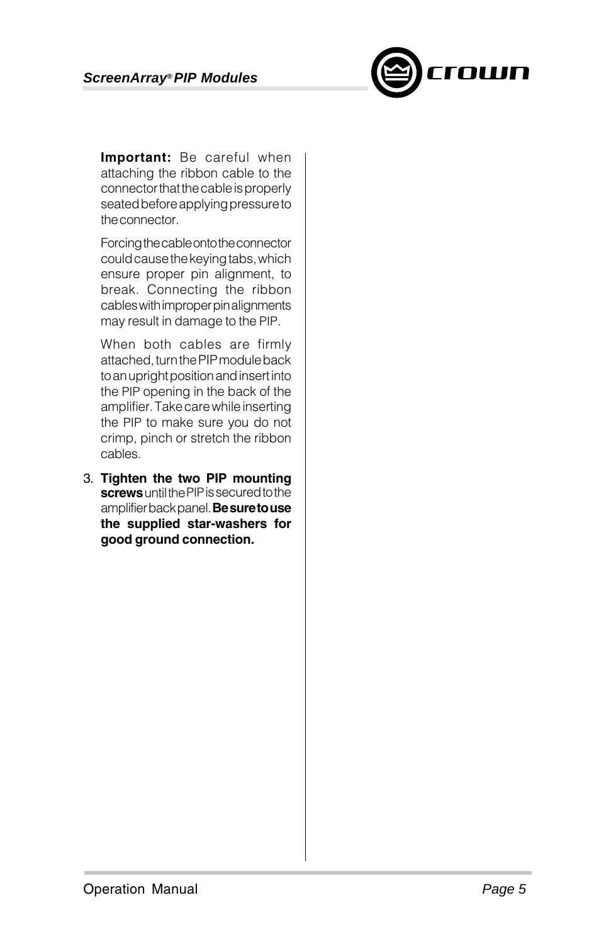

**Important:** Be careful when attaching the ribbon cable to the connector that the cable is properly seated before applying pressure to the connector.

Forcing the cable onto the connector could cause the keying tabs, which ensure proper pin alignment, to break. Connecting the ribbon cables with improper pin alignments may result in damage to the PIP.

When both cables are firmly attached, turn the PIP module back to an upright position and insert into the PIP opening in the back of the amplifier. Take care while inserting the PIP to make sure you do not crimp, pinch or stretch the ribbon cables.

3. **Tighten the two PIP mounting screws** until the PIP is secured to the amplifier back panel. **Be sure to use the supplied star-washers for good ground connection.**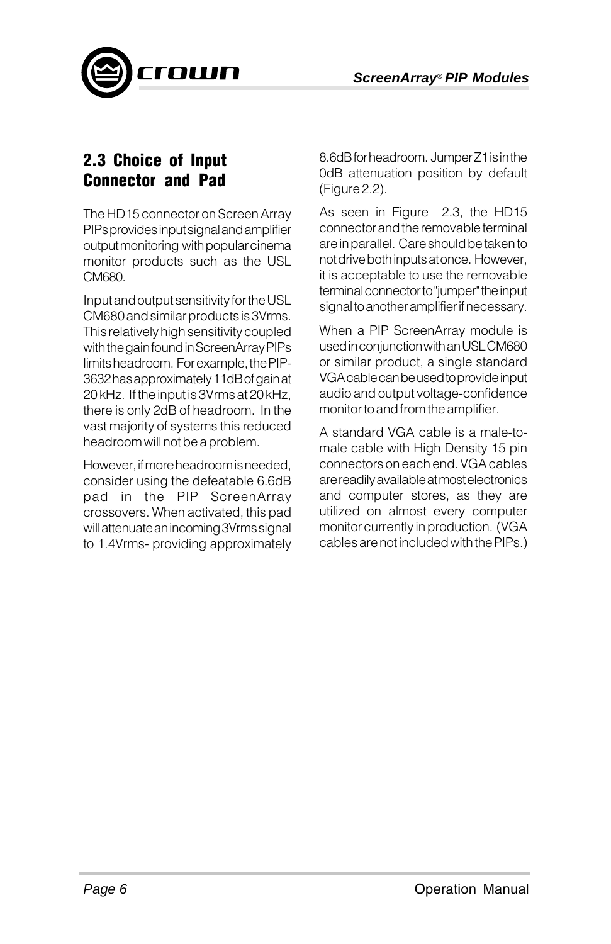

### **2.3 Choice of Input Connector and Pad**

The HD15 connector on Screen Array PIPs provides input signal and amplifier output monitoring with popular cinema monitor products such as the USL CM680

Input and output sensitivity for the USL CM680 and similar products is 3Vrms. This relatively high sensitivity coupled with the gain found in ScreenArray PIPs limits headroom. For example, the PIP-3632 has approximately 11dB of gain at 20 kHz. If the input is 3Vrms at 20 kHz, there is only 2dB of headroom. In the vast majority of systems this reduced headroom will not be a problem.

However, if more headroom is needed, consider using the defeatable 6.6dB pad in the PIP ScreenArray crossovers. When activated, this pad will attenuate an incoming 3Vrms signal to 1.4Vrms- providing approximately

8.6dB for headroom. Jumper Z1 is in the 0dB attenuation position by default (Figure 2.2).

As seen in Figure 2.3, the HD15 connector and the removable terminal are in parallel. Care should be taken to not drive both inputs at once. However, it is acceptable to use the removable terminal connector to "jumper" the input signal to another amplifier if necessary.

When a PIP ScreenArray module is used in conjunction with an USL CM680 or similar product, a single standard VGA cable can be used to provide input audio and output voltage-confidence monitor to and from the amplifier.

A standard VGA cable is a male-tomale cable with High Density 15 pin connectors on each end. VGA cables are readily available at most electronics and computer stores, as they are utilized on almost every computer monitor currently in production. (VGA cables are not included with the PIPs.)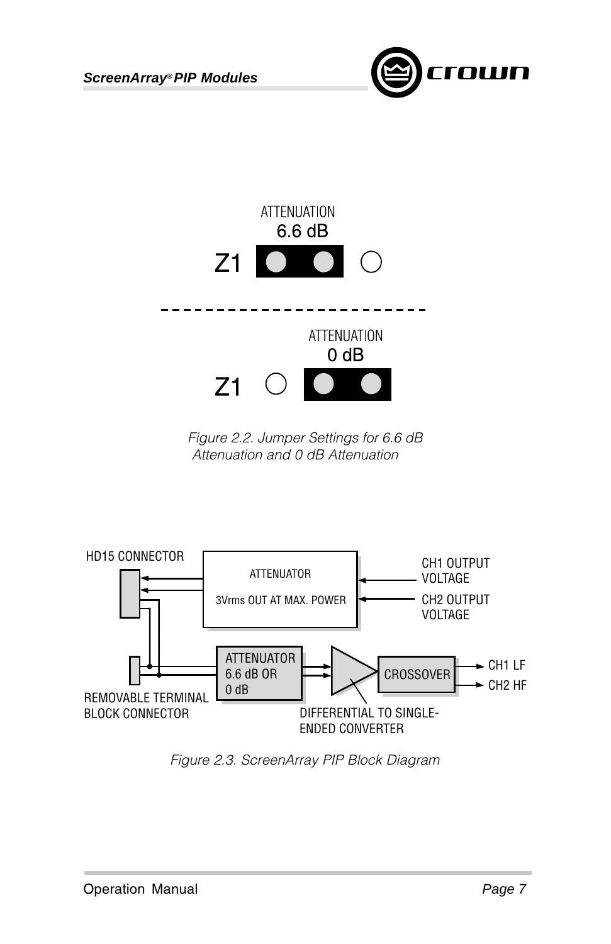



Figure 2.2. Jumper Settings for 6.6 dB Attenuation and 0 dB Attenuation



Figure 2.3. ScreenArray PIP Block Diagram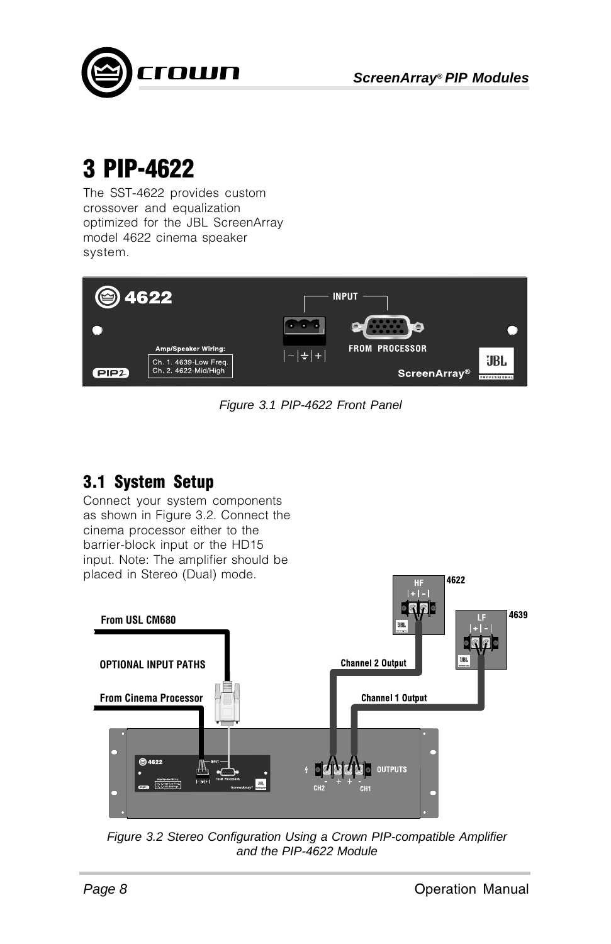

## **3 PIP-4622**

The SST-4622 provides custom crossover and equalization optimized for the JBL ScreenArray model 4622 cinema speaker system.



*Figure 3.1 PIP-4622 Front Panel*

## **3.1 System Setup**

Connect your system components as shown in Figure 3.2. Connect the cinema processor either to the barrier-block input or the HD15 input. Note: The amplifier should be placed in Stereo (Dual) mode.



*Figure 3.2 Stereo Configuration Using a Crown PIP-compatible Amplifier and the PIP-4622 Module*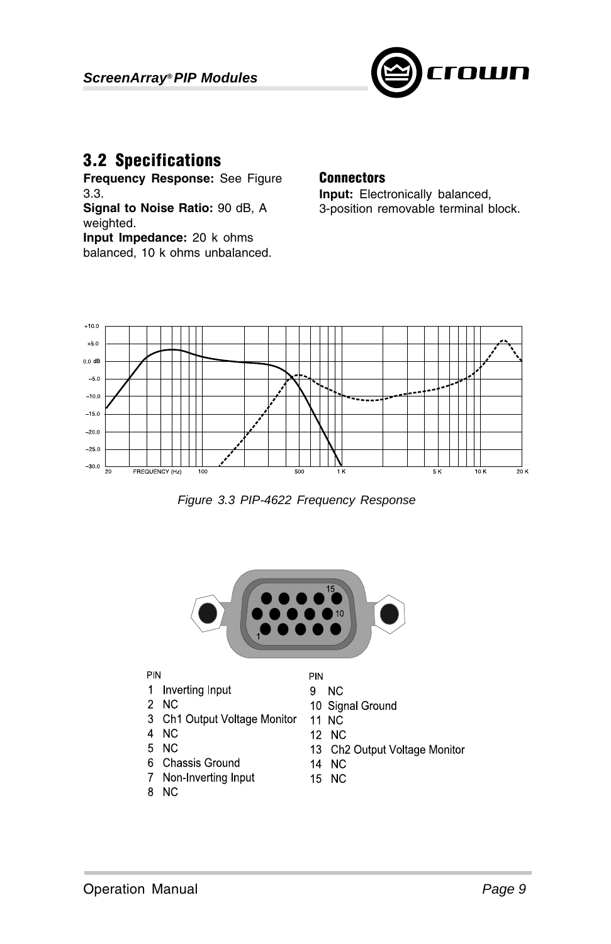

## **3.2 Specifications**

**Frequency Response:** See Figure 3.3.

**Signal to Noise Ratio:** 90 dB, A weighted.

**Input Impedance:** 20 k ohms balanced, 10 k ohms unbalanced.

#### **Connectors**

**Input:** Electronically balanced, 3-position removable terminal block.



*Figure 3.3 PIP-4622 Frequency Response*



#### PIN

- 1 Inverting Input
- 2 NC
- 3 Ch1 Output Voltage Monitor
- 4 NC
- 5 NC
- 6 Chassis Ground
- 7 Non-Inverting Input
- 8 NC
- **PN** 9 NC
- 10 Signal Ground
- 
- 11 NC 12 NC
- 
- 13 Ch2 Output Voltage Monitor
- 14 NC
- 15 NC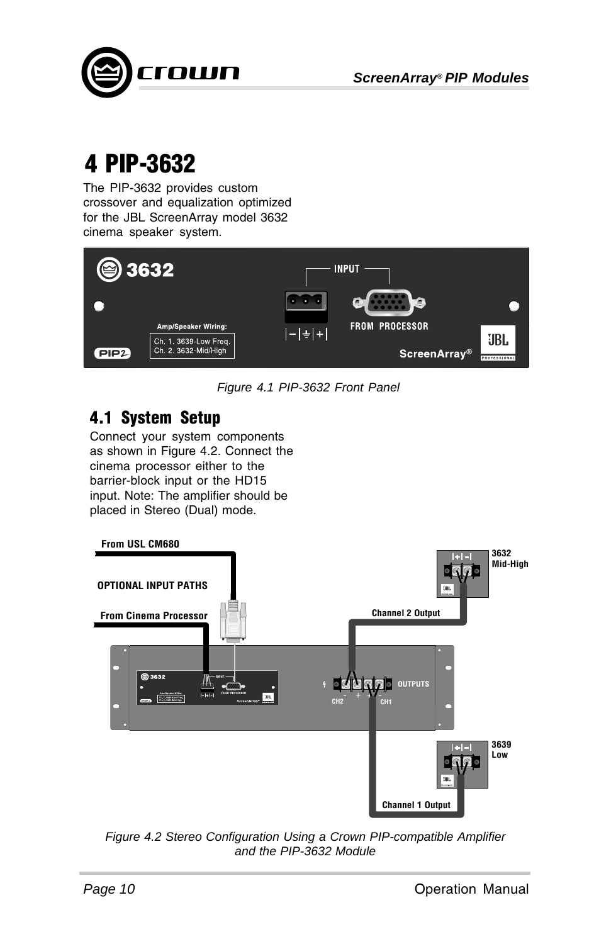

## **4 PIP-3632**

The PIP-3632 provides custom crossover and equalization optimized for the JBL ScreenArray model 3632 cinema speaker system.



*Figure 4.1 PIP-3632 Front Panel*

## **4.1 System Setup**

Connect your system components as shown in Figure 4.2. Connect the cinema processor either to the barrier-block input or the HD15 input. Note: The amplifier should be placed in Stereo (Dual) mode.



*Figure 4.2 Stereo Configuration Using a Crown PIP-compatible Amplifier and the PIP-3632 Module*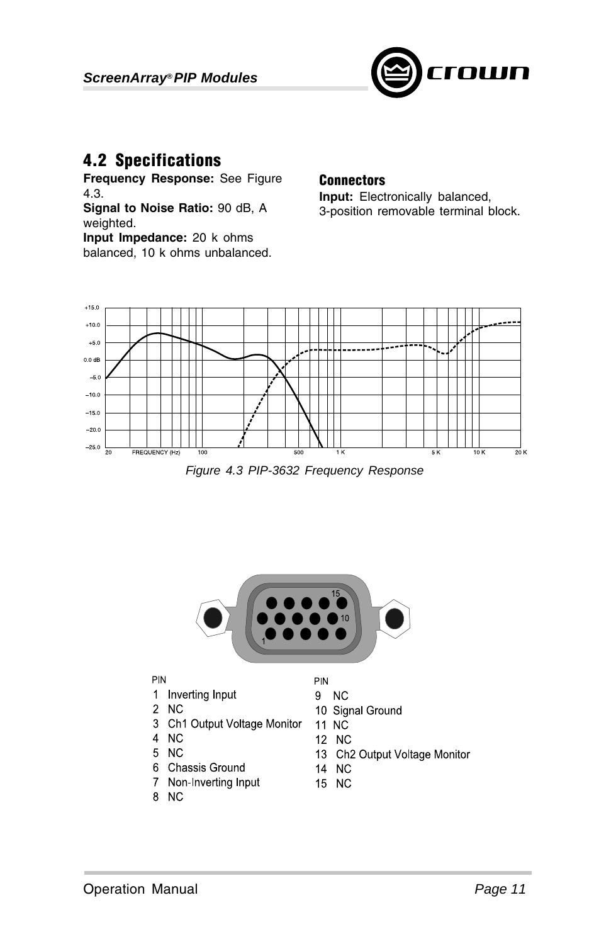

## **4.2 Specifications**

**Frequency Response:** See Figure 4.3.

**Signal to Noise Ratio:** 90 dB, A weighted.

**Input Impedance:** 20 k ohms balanced, 10 k ohms unbalanced.

#### **Connectors**

**Input:** Electronically balanced, 3-position removable terminal block.



*Figure 4.3 PIP-3632 Frequency Response*



#### PIN

- 1 Inverting Input
- 2 NC
- 3 Ch1 Output Voltage Monitor
- 4 NC
- 5 NC
- 6 Chassis Ground
- 7 Non-Inverting Input
- 8 NC
- PIN 9 NC
- 10 Signal Ground
- **11 NC**
- 12 NC
- 13 Ch2 Output Voltage Monitor
- 14 NC
- 15 NC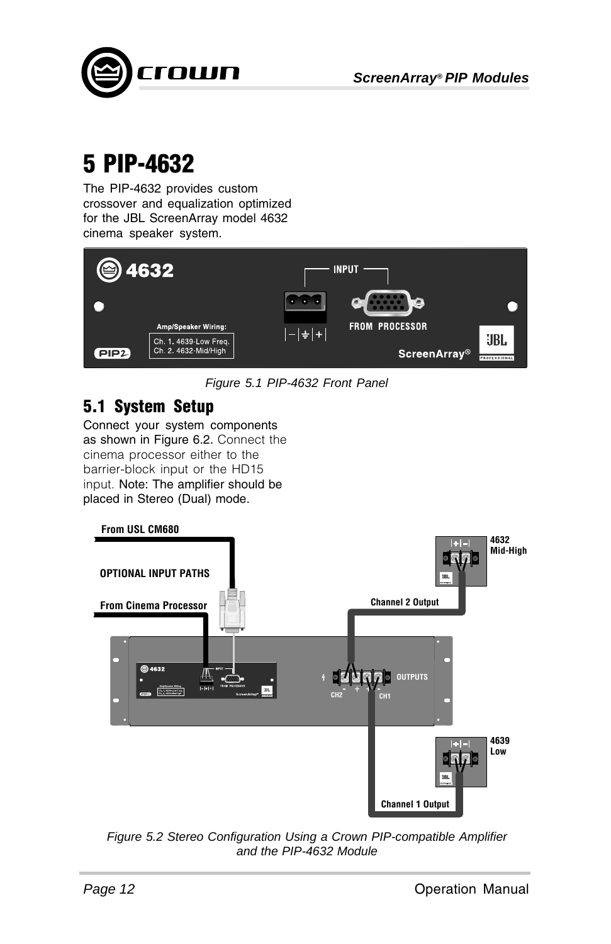

## **5 PIP-4632**

The PIP-4632 provides custom crossover and equalization optimized for the JBL ScreenArray model 4632 cinema speaker system.



*Figure 5.1 PIP-4632 Front Panel*

### **5.1 System Setup**

Connect your system components as shown in Figure 6.2. Connect the cinema processor either to the barrier-block input or the HD15 input. Note: The amplifier should be placed in Stereo (Dual) mode.



*Figure 5.2 Stereo Configuration Using a Crown PIP-compatible Amplifier and the PIP-4632 Module*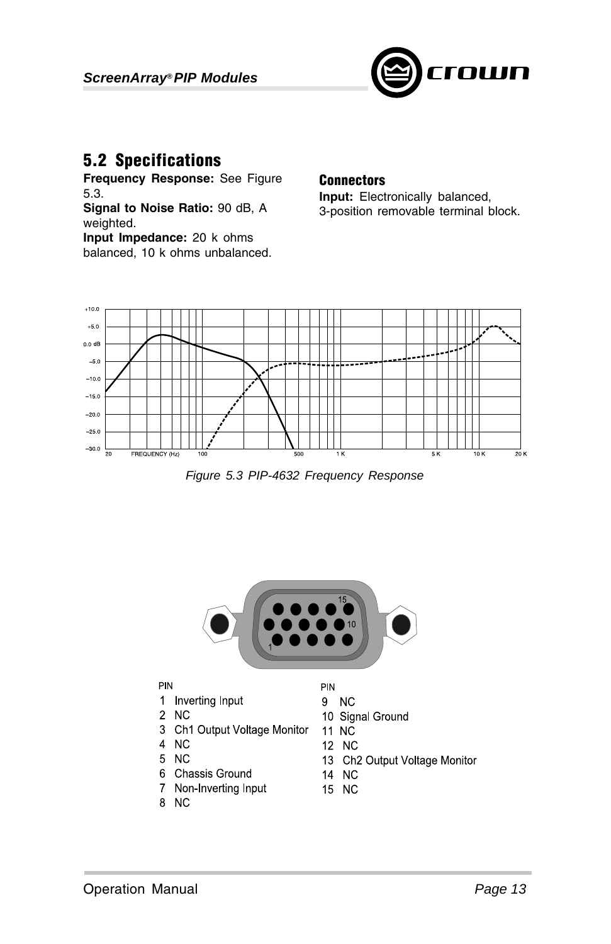

## **5.2 Specifications**

**Frequency Response:** See Figure 5.3.

**Signal to Noise Ratio:** 90 dB, A weighted.

**Input Impedance:** 20 k ohms balanced, 10 k ohms unbalanced.

#### **Connectors**

**Input:** Electronically balanced, 3-position removable terminal block.



*Figure 5.3 PIP-4632 Frequency Response*



#### **PN**

- 1 Inverting Input
- 2 NC
- 3 Ch1 Output Voltage Monitor
- 4 NC
- 5 NC
- 6 Chassis Ground
- 7 Non-Inverting Input
- 8 NC
- **PN** 9
	- **NC**
- 10 Signal Ground
- 11 NC
- 12 NC
- 13 Ch2 Output Voltage Monitor
- 14 NC
- 15 NC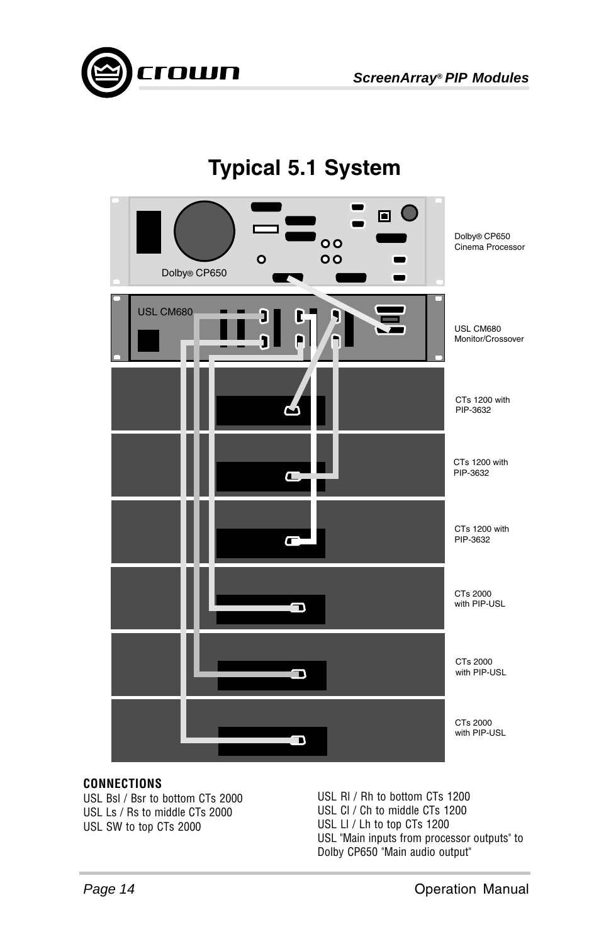



## **Typical 5.1 System**

#### **CONNECTIONS**

USL Bsl / Bsr to bottom CTs 2000 USL Ls / Rs to middle CTs 2000 USL SW to top CTs 2000

USL Rl / Rh to bottom CTs 1200 USL Cl / Ch to middle CTs 1200 USL Ll / Lh to top CTs 1200 USL "Main inputs from processor outputs" to Dolby CP650 "Main audio output"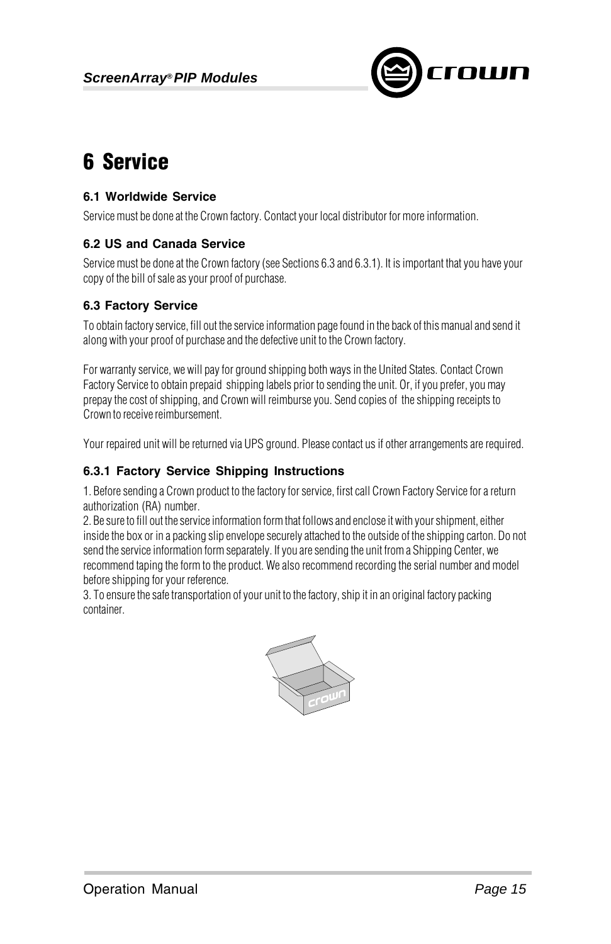

## **6 Service**

#### **6.1 Worldwide Service**

Service must be done at the Crown factory. Contact your local distributor for more information.

#### **6.2 US and Canada Service**

Service must be done at the Crown factory (see Sections 6.3 and 6.3.1). It is important that you have your copy of the bill of sale as your proof of purchase.

#### **6.3 Factory Service**

To obtain factory service, fill out the service information page found in the back of this manual and send it along with your proof of purchase and the defective unit to the Crown factory.

For warranty service, we will pay for ground shipping both ways in the United States. Contact Crown Factory Service to obtain prepaid shipping labels prior to sending the unit. Or, if you prefer, you may prepay the cost of shipping, and Crown will reimburse you. Send copies of the shipping receipts to Crown to receive reimbursement.

Your repaired unit will be returned via UPS ground. Please contact us if other arrangements are required.

#### **6.3.1 Factory Service Shipping Instructions**

1. Before sending a Crown product to the factory for service, first call Crown Factory Service for a return authorization (RA) number.

2. Be sure to fill out the service information form that follows and enclose it with your shipment, either inside the box or in a packing slip envelope securely attached to the outside of the shipping carton. Do not send the service information form separately. If you are sending the unit from a Shipping Center, we recommend taping the form to the product. We also recommend recording the serial number and model before shipping for your reference.

3. To ensure the safe transportation of your unit to the factory, ship it in an original factory packing container.

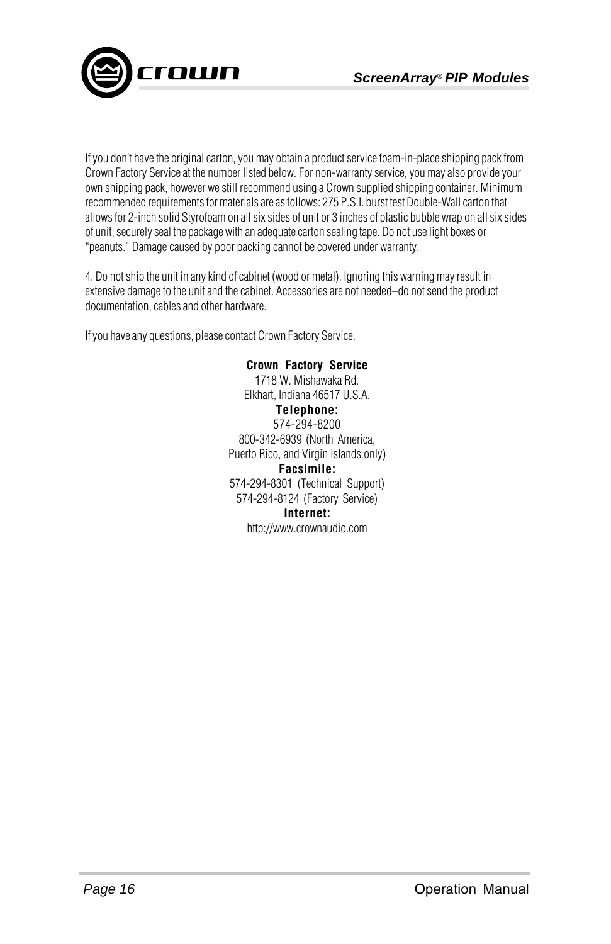

If you don't have the original carton, you may obtain a product service foam-in-place shipping pack from Crown Factory Service at the number listed below. For non-warranty service, you may also provide your own shipping pack, however we still recommend using a Crown supplied shipping container. Minimum recommended requirements for materials are as follows: 275 P.S.I. burst test Double-Wall carton that allows for 2-inch solid Styrofoam on all six sides of unit or 3 inches of plastic bubble wrap on all six sides of unit; securely seal the package with an adequate carton sealing tape. Do not use light boxes or "peanuts." Damage caused by poor packing cannot be covered under warranty.

4. Do not ship the unit in any kind of cabinet (wood or metal). Ignoring this warning may result in extensive damage to the unit and the cabinet. Accessories are not needed–do not send the product documentation, cables and other hardware.

If you have any questions, please contact Crown Factory Service.

#### **Crown Factory Service**

1718 W. Mishawaka Rd. Elkhart, Indiana 46517 U.S.A. **Telephone:** 574-294-8200 800-342-6939 (North America, Puerto Rico, and Virgin Islands only) **Facsimile:** 574-294-8301 (Technical Support) 574-294-8124 (Factory Service) **Internet:** http://www.crownaudio.com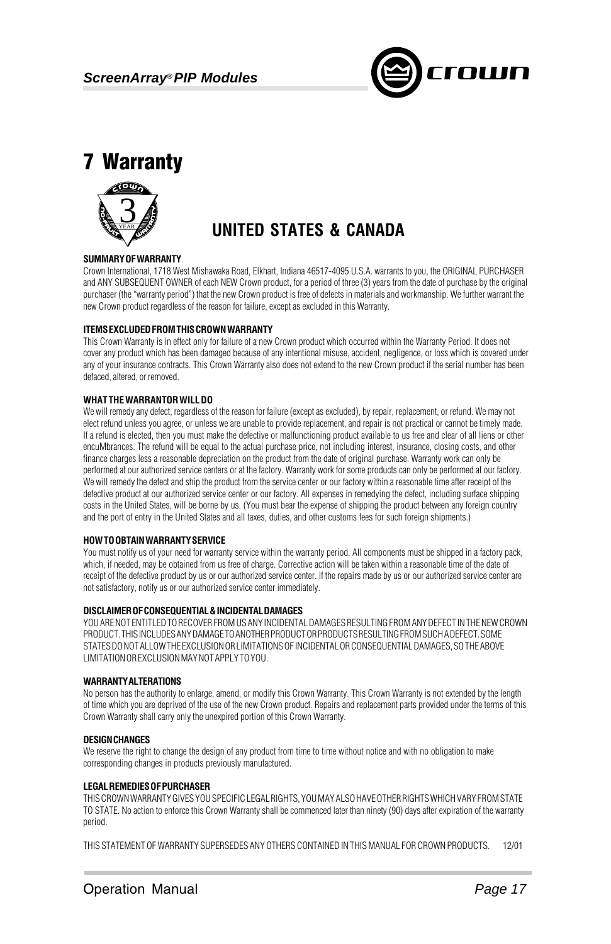





## **UNITED STATES & CANADA**

#### **SUMMARY OF WARRANTY**

Crown International, 1718 West Mishawaka Road, Elkhart, Indiana 46517-4095 U.S.A. warrants to you, the ORIGINAL PURCHASER and ANY SUBSEQUENT OWNER of each NEW Crown product, for a period of three (3) years from the date of purchase by the original purchaser (the "warranty period") that the new Crown product is free of defects in materials and workmanship. We further warrant the new Crown product regardless of the reason for failure, except as excluded in this Warranty.

#### **ITEMS EXCLUDED FROM THIS CROWN WARRANTY**

This Crown Warranty is in effect only for failure of a new Crown product which occurred within the Warranty Period. It does not cover any product which has been damaged because of any intentional misuse, accident, negligence, or loss which is covered under any of your insurance contracts. This Crown Warranty also does not extend to the new Crown product if the serial number has been defaced, altered, or removed.

#### **WHAT THE WARRANTOR WILL DO**

We will remedy any defect, regardless of the reason for failure (except as excluded), by repair, replacement, or refund. We may not elect refund unless you agree, or unless we are unable to provide replacement, and repair is not practical or cannot be timely made. If a refund is elected, then you must make the defective or malfunctioning product available to us free and clear of all liens or other encuMbrances. The refund will be equal to the actual purchase price, not including interest, insurance, closing costs, and other finance charges less a reasonable depreciation on the product from the date of original purchase. Warranty work can only be performed at our authorized service centers or at the factory. Warranty work for some products can only be performed at our factory. We will remedy the defect and ship the product from the service center or our factory within a reasonable time after receipt of the defective product at our authorized service center or our factory. All expenses in remedying the defect, including surface shipping costs in the United States, will be borne by us. (You must bear the expense of shipping the product between any foreign country and the port of entry in the United States and all taxes, duties, and other customs fees for such foreign shipments.)

#### **HOW TO OBTAIN WARRANTY SERVICE**

You must notify us of your need for warranty service within the warranty period. All components must be shipped in a factory pack, which, if needed, may be obtained from us free of charge. Corrective action will be taken within a reasonable time of the date of receipt of the defective product by us or our authorized service center. If the repairs made by us or our authorized service center are not satisfactory, notify us or our authorized service center immediately.

#### **DISCLAIMER OF CONSEQUENTIAL & INCIDENTAL DAMAGES**

YOU ARE NOT ENTITLED TO RECOVER FROM US ANY INCIDENTAL DAMAGES RESULTING FROM ANY DEFECT IN THE NEW CROWN PRODUCT. THIS INCLUDES ANY DAMAGE TO ANOTHER PRODUCT OR PRODUCTS RESULTING FROM SUCH A DEFECT. SOME STATES DO NOT ALLOW THE EXCLUSION OR LIMITATIONS OF INCIDENTAL OR CONSEQUENTIAL DAMAGES, SO THE ABOVE LIMITATION OR EXCLUSION MAY NOT APPLY TO YOU.

#### **WARRANTY ALTERATIONS**

No person has the authority to enlarge, amend, or modify this Crown Warranty. This Crown Warranty is not extended by the length of time which you are deprived of the use of the new Crown product. Repairs and replacement parts provided under the terms of this Crown Warranty shall carry only the unexpired portion of this Crown Warranty.

#### **DESIGN CHANGES**

We reserve the right to change the design of any product from time to time without notice and with no obligation to make corresponding changes in products previously manufactured.

#### **LEGAL REMEDIES OF PURCHASER**

THIS CROWN WARRANTY GIVES YOU SPECIFIC LEGAL RIGHTS, YOU MAY ALSO HAVE OTHER RIGHTS WHICH VARY FROM STATE TO STATE. No action to enforce this Crown Warranty shall be commenced later than ninety (90) days after expiration of the warranty period.

THIS STATEMENT OF WARRANTY SUPERSEDES ANY OTHERS CONTAINED IN THIS MANUAL FOR CROWN PRODUCTS. 12/01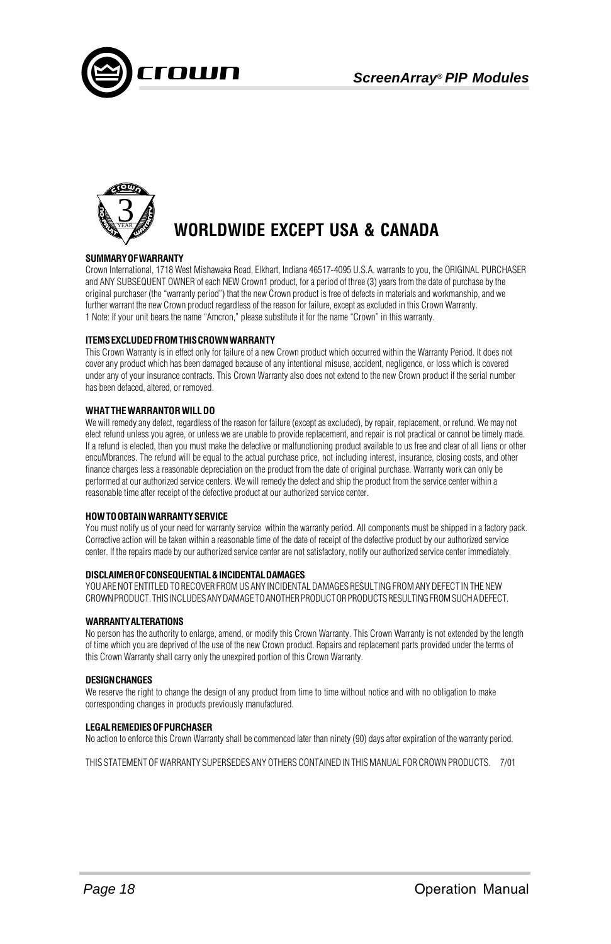



## **WORLDWIDE EXCEPT USA & CANADA**

#### **SUMMARY OF WARRANTY**

Crown International, 1718 West Mishawaka Road, Elkhart, Indiana 46517-4095 U.S.A. warrants to you, the ORIGINAL PURCHASER and ANY SUBSEQUENT OWNER of each NEW Crown1 product, for a period of three (3) years from the date of purchase by the original purchaser (the "warranty period") that the new Crown product is free of defects in materials and workmanship, and we further warrant the new Crown product regardless of the reason for failure, except as excluded in this Crown Warranty. 1 Note: If your unit bears the name "Amcron," please substitute it for the name "Crown" in this warranty.

#### **ITEMS EXCLUDED FROM THIS CROWN WARRANTY**

This Crown Warranty is in effect only for failure of a new Crown product which occurred within the Warranty Period. It does not cover any product which has been damaged because of any intentional misuse, accident, negligence, or loss which is covered under any of your insurance contracts. This Crown Warranty also does not extend to the new Crown product if the serial number has been defaced, altered, or removed.

#### **WHAT THE WARRANTOR WILL DO**

We will remedy any defect, regardless of the reason for failure (except as excluded), by repair, replacement, or refund. We may not elect refund unless you agree, or unless we are unable to provide replacement, and repair is not practical or cannot be timely made. If a refund is elected, then you must make the defective or malfunctioning product available to us free and clear of all liens or other encuMbrances. The refund will be equal to the actual purchase price, not including interest, insurance, closing costs, and other finance charges less a reasonable depreciation on the product from the date of original purchase. Warranty work can only be performed at our authorized service centers. We will remedy the defect and ship the product from the service center within a reasonable time after receipt of the defective product at our authorized service center.

#### **HOW TO OBTAIN WARRANTY SERVlCE**

You must notify us of your need for warranty service within the warranty period. All components must be shipped in a factory pack. Corrective action will be taken within a reasonable time of the date of receipt of the defective product by our authorized service center. If the repairs made by our authorized service center are not satisfactory, notify our authorized service center immediately.

#### **DISCLAIMER OF CONSEQUENTIAL & INCIDENTAL DAMAGES**

YOU ARE NOT ENTITLED TO RECOVER FROM US ANY INCIDENTAL DAMAGES RESULTING FROM ANY DEFECT IN THE NEW CROWN PRODUCT. THIS INCLUDES ANY DAMAGE TO ANOTHER PRODUCT OR PRODUCTS RESULTING FROM SUCH A DEFECT.

#### **WARRANTY ALTERATIONS**

No person has the authority to enlarge, amend, or modify this Crown Warranty. This Crown Warranty is not extended by the length of time which you are deprived of the use of the new Crown product. Repairs and replacement parts provided under the terms of this Crown Warranty shall carry only the unexpired portion of this Crown Warranty.

#### **DESIGN CHANGES**

We reserve the right to change the design of any product from time to time without notice and with no obligation to make corresponding changes in products previously manufactured.

#### **LEGAL REMEDIES OF PURCHASER**

No action to enforce this Crown Warranty shall be commenced later than ninety (90) days after expiration of the warranty period.

THIS STATEMENT OF WARRANTY SUPERSEDES ANY OTHERS CONTAINED IN THIS MANUAL FOR CROWN PRODUCTS. 7/01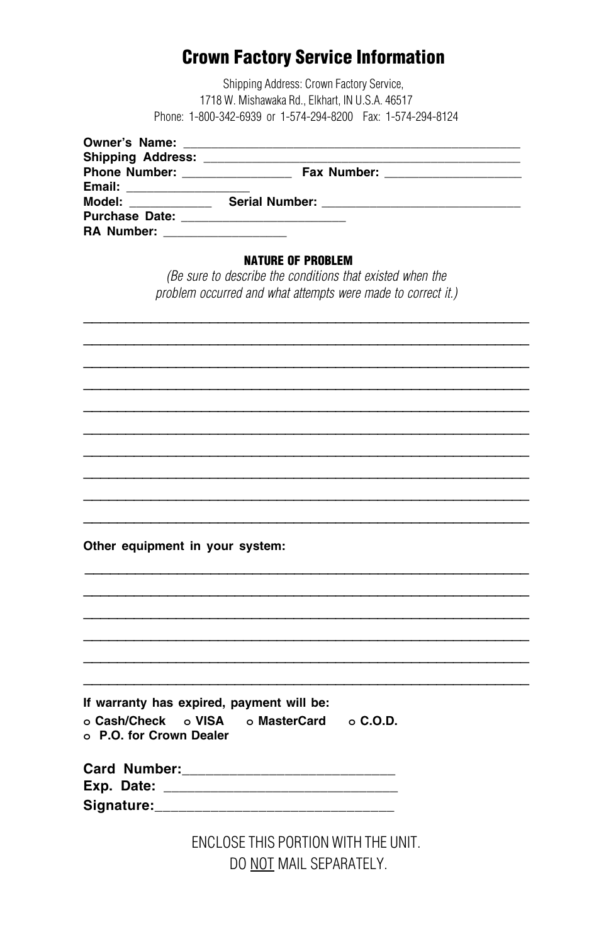## **Crown Factory Service Information**

Shipping Address: Crown Factory Service, 1718 W. Mishawaka Rd., Elkhart, IN U.S.A. 46517 Phone: 1-800-342-6939 or 1-574-294-8200 Fax: 1-574-294-8124

| <b>Owner's Name:</b>                                                                                                                                                                                                                |                                                                                                                  |  |
|-------------------------------------------------------------------------------------------------------------------------------------------------------------------------------------------------------------------------------------|------------------------------------------------------------------------------------------------------------------|--|
|                                                                                                                                                                                                                                     | Shipping Address: National Address and Address and Address and Address and Address and Address and Address and A |  |
| <b>Phone Number:</b> Note that the state of the state of the state of the state of the state of the state of the state of the state of the state of the state of the state of the state of the state of the state of the state of t | Fax Number: __________________                                                                                   |  |
| Email: ___________________                                                                                                                                                                                                          |                                                                                                                  |  |
| Model: <b>Model</b>                                                                                                                                                                                                                 |                                                                                                                  |  |
|                                                                                                                                                                                                                                     |                                                                                                                  |  |
| RA Number: _________________                                                                                                                                                                                                        |                                                                                                                  |  |

#### **NATURE OF PROBLEM**

(Be sure to describe the conditions that existed when the problem occurred and what attempts were made to correct it.)

Other equipment in your system:

|                         | If warranty has expired, payment will be: |  |
|-------------------------|-------------------------------------------|--|
| o P.O. for Crown Dealer | o Cash/Check o VISA o MasterCard o C.O.D. |  |
|                         |                                           |  |
|                         |                                           |  |
|                         |                                           |  |
|                         | ENCLOSE THIS PORTION WITH THE UNIT.       |  |

DO NOT MAIL SEPARATELY.